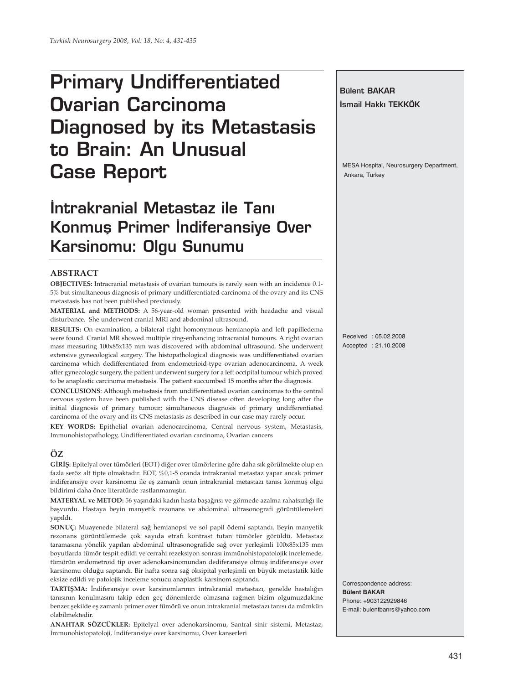# **Primary Undifferentiated Ovarian Carcinoma Diagnosed by its Metastasis to Brain: An Unusual Case Report**

# **‹ntrakranial Metastaz ile Tan› Konmus Primer Indiferansiye Over Karsinomu: Olgu Sunumu**

#### **ABSTRACT**

**OBJECTIVES:** Intracranial metastasis of ovarian tumours is rarely seen with an incidence 0.1- 5% but simultaneous diagnosis of primary undifferentiated carcinoma of the ovary and its CNS metastasis has not been published previously.

**MATERIAL and METHODS:** A 56-year-old woman presented with headache and visual disturbance. She underwent cranial MRI and abdominal ultrasound.

**RESULTS:** On examination, a bilateral right homonymous hemianopia and left papilledema were found. Cranial MR showed multiple ring-enhancing intracranial tumours. A right ovarian mass measuring 100x85x135 mm was discovered with abdominal ultrasound. She underwent extensive gynecological surgery. The histopathological diagnosis was undifferentiated ovarian carcinoma which dedifferentiated from endometrioid-type ovarian adenocarcinoma. A week after gynecologic surgery, the patient underwent surgery for a left occipital tumour which proved to be anaplastic carcinoma metastasis. The patient succumbed 15 months after the diagnosis.

**CONCLUSIONS**: Although metastasis from undifferentiated ovarian carcinomas to the central nervous system have been published with the CNS disease often developing long after the initial diagnosis of primary tumour; simultaneous diagnosis of primary undifferentiated carcinoma of the ovary and its CNS metastasis as described in our case may rarely occur.

**KEY WORDS:** Epithelial ovarian adenocarcinoma, Central nervous system, Metastasis, Immunohistopathology, Undifferentiated ovarian carcinoma, Ovarian cancers

## **ÖZ**

**GİRİŞ:** Epitelyal over tümörleri (EOT) diğer over tümörlerine göre daha sık görülmekte olup en fazla seröz alt tipte olmaktadır. EOT, %0,1-5 oranda intrakranial metastaz yapar ancak primer indiferansiye over karsinomu ile eş zamanlı onun intrakranial metastazı tanısı konmuş olgu bildirimi daha önce literatürde rastlanmamıştır.

**MATERYAL ve METOD:** 56 yaşındaki kadın hasta başağrısı ve görmede azalma rahatsızlığı ile başvurdu. Hastaya beyin manyetik rezonans ve abdominal ultrasonografi görüntülemeleri yapıldı.

**SONUÇ:** Muayenede bilateral sağ hemianopsi ve sol papil ödemi saptandı. Beyin manyetik rezonans görüntülemede çok sayıda etrafı kontrast tutan tümörler görüldü. Metastaz taramasına yönelik yapılan abdominal ultrasonografide sağ over yerleşimli 100x85x135 mm boyutlarda tümör tespit edildi ve cerrahi rezeksiyon sonrası immünohistopatolojik incelemede, tümörün endometroid tip over adenokarsinomundan dediferansiye olmuş indiferansiye over karsinomu olduğu saptandı. Bir hafta sonra sağ oksipital yerleşimli en büyük metastatik kitle eksize edildi ve patolojik inceleme sonucu anaplastik karsinom saptandı.

**TARTIŞMA:** İndiferansiye over karsinomlarının intrakranial metastazı, genelde hastalığın tanısının konulmasını takip eden geç dönemlerde olmasına rağmen bizim olgumuzdakine benzer şekilde eş zamanlı primer over tümörü ve onun intrakranial metastazı tanısı da mümkün olabilmektedir.

**ANAHTAR SÖZCÜKLER:** Epitelyal over adenokarsinomu, Santral sinir sistemi, Metastaz, İmmunohistopatoloji, İndiferansiye over karsinomu, Over kanserleri

Received : 05.02.2008 Accepted : 21.10.2008 Correspondence address: **Bülent BAKAR** Phone: +903122929846 E-mail: bulentbanrs@yahoo.com

**Bülent BAKAR**

Ankara, Turkey

**‹smail Hakk› TEKKÖK**

MESA Hospital, Neurosurgery Department,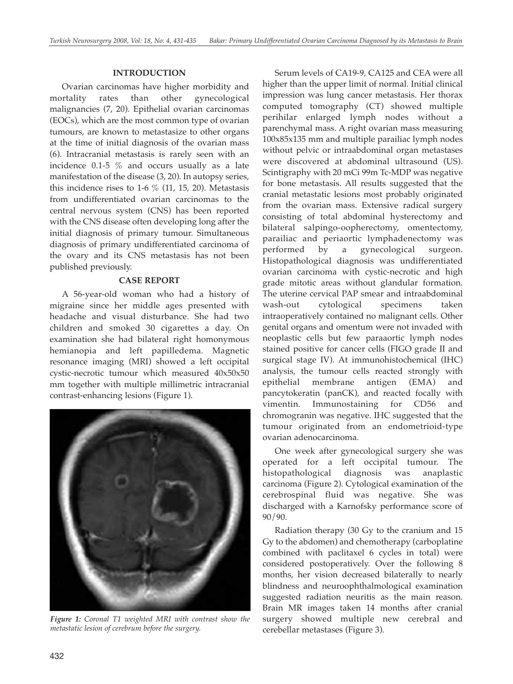#### **INTRODUCTION**

Ovarian carcinomas have higher morbidity and mortality rates than other gynecological malignancies (7, 20). Epithelial ovarian carcinomas (EOCs), which are the most common type of ovarian tumours, are known to metastasize to other organs at the time of initial diagnosis of the ovarian mass (6). Intracranial metastasis is rarely seen with an incidence 0.1-5 % and occurs usually as a late manifestation of the disease (3, 20). In autopsy series, this incidence rises to 1-6  $\%$  (11, 15, 20). Metastasis from undifferentiated ovarian carcinomas to the central nervous system (CNS) has been reported with the CNS disease often developing long after the initial diagnosis of primary tumour. Simultaneous diagnosis of primary undifferentiated carcinoma of the ovary and its CNS metastasis has not been published previously.

### **CASE REPORT**

A 56-year-old woman who had a history of migraine since her middle ages presented with headache and visual disturbance. She had two children and smoked 30 cigarettes a day. On examination she had bilateral right homonymous hemianopia and left papilledema. Magnetic resonance imaging (MRI) showed a left occipital cystic-necrotic tumour which measured 40x50x50 mm together with multiple millimetric intracranial contrast-enhancing lesions (Figure 1).



*Figure 1: Coronal T1 weighted MRI with contrast show the metastatic lesion of cerebrum before the surgery.*

Serum levels of CA19-9, CA125 and CEA were all higher than the upper limit of normal. Initial clinical impression was lung cancer metastasis. Her thorax computed tomography (CT) showed multiple perihilar enlarged lymph nodes without a parenchymal mass. A right ovarian mass measuring 100x85x135 mm and multiple parailiac lymph nodes without pelvic or intraabdominal organ metastases were discovered at abdominal ultrasound (US). Scintigraphy with 20 mCi 99m Tc-MDP was negative for bone metastasis. All results suggested that the cranial metastatic lesions most probably originated from the ovarian mass. Extensive radical surgery consisting of total abdominal hysterectomy and bilateral salpingo-oopherectomy, omentectomy, parailiac and periaortic lymphadenectomy was performed by a gynecological surgeon. Histopathological diagnosis was undifferentiated ovarian carcinoma with cystic-necrotic and high grade mitotic areas without glandular formation. The uterine cervical PAP smear and intraabdominal wash-out cytological specimens taken intraoperatively contained no malignant cells. Other genital organs and omentum were not invaded with neoplastic cells but few paraaortic lymph nodes stained positive for cancer cells (FIGO grade II and surgical stage IV). At immunohistochemical (IHC) analysis, the tumour cells reacted strongly with epithelial membrane antigen (EMA) and pancytokeratin (panCK), and reacted focally with vimentin. Immunostaining for CD56 and chromogranin was negative. IHC suggested that the tumour originated from an endometrioid-type ovarian adenocarcinoma.

One week after gynecological surgery she was operated for a left occipital tumour. The histopathological diagnosis was anaplastic carcinoma (Figure 2). Cytological examination of the cerebrospinal fluid was negative. She was discharged with a Karnofsky performance score of 90/90.

Radiation therapy (30 Gy to the cranium and 15 Gy to the abdomen) and chemotherapy (carboplatine combined with paclitaxel 6 cycles in total) were considered postoperatively. Over the following 8 months, her vision decreased bilaterally to nearly blindness and neuroophthalmological examination suggested radiation neuritis as the main reason. Brain MR images taken 14 months after cranial surgery showed multiple new cerebral and cerebellar metastases (Figure 3).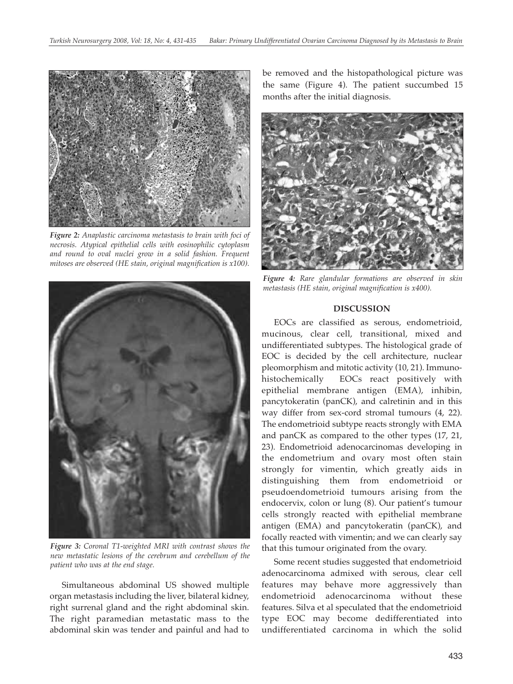

*Figure 2: Anaplastic carcinoma metastasis to brain with foci of necrosis. Atypical epithelial cells with eosinophilic cytoplasm and round to oval nuclei grow in a solid fashion. Frequent mitoses are observed (HE stain, original magnification is x100).*



*Figure 3: Coronal T1-weighted MRI with contrast shows the new metastatic lesions of the cerebrum and cerebellum of the patient who was at the end stage.*

Simultaneous abdominal US showed multiple organ metastasis including the liver, bilateral kidney, right surrenal gland and the right abdominal skin. The right paramedian metastatic mass to the abdominal skin was tender and painful and had to be removed and the histopathological picture was the same (Figure 4). The patient succumbed 15 months after the initial diagnosis.



*Figure 4: Rare glandular formations are observed in skin metastasis (HE stain, original magnification is x400).*

#### **DISCUSSION**

EOCs are classified as serous, endometrioid, mucinous, clear cell, transitional, mixed and undifferentiated subtypes. The histological grade of EOC is decided by the cell architecture, nuclear pleomorphism and mitotic activity (10, 21). Immunohistochemically EOCs react positively with epithelial membrane antigen (EMA), inhibin, pancytokeratin (panCK), and calretinin and in this way differ from sex-cord stromal tumours (4, 22). The endometrioid subtype reacts strongly with EMA and panCK as compared to the other types (17, 21, 23). Endometrioid adenocarcinomas developing in the endometrium and ovary most often stain strongly for vimentin, which greatly aids in distinguishing them from endometrioid or pseudoendometrioid tumours arising from the endocervix, colon or lung (8). Our patient's tumour cells strongly reacted with epithelial membrane antigen (EMA) and pancytokeratin (panCK), and focally reacted with vimentin; and we can clearly say that this tumour originated from the ovary.

Some recent studies suggested that endometrioid adenocarcinoma admixed with serous, clear cell features may behave more aggressively than endometrioid adenocarcinoma without these features. Silva et al speculated that the endometrioid type EOC may become dedifferentiated into undifferentiated carcinoma in which the solid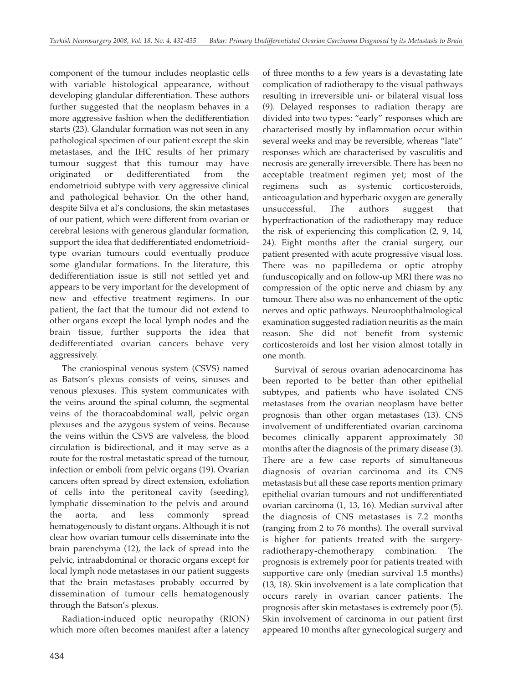component of the tumour includes neoplastic cells with variable histological appearance, without developing glandular differentiation. These authors further suggested that the neoplasm behaves in a more aggressive fashion when the dedifferentiation starts (23). Glandular formation was not seen in any pathological specimen of our patient except the skin metastases, and the IHC results of her primary tumour suggest that this tumour may have originated or dedifferentiated from the endometrioid subtype with very aggressive clinical and pathological behavior. On the other hand, despite Silva et al's conclusions, the skin metastases of our patient, which were different from ovarian or cerebral lesions with generous glandular formation, support the idea that dedifferentiated endometrioidtype ovarian tumours could eventually produce some glandular formations. In the literature, this dedifferentiation issue is still not settled yet and appears to be very important for the development of new and effective treatment regimens. In our patient, the fact that the tumour did not extend to other organs except the local lymph nodes and the brain tissue, further supports the idea that dedifferentiated ovarian cancers behave very aggressively.

The craniospinal venous system (CSVS) named as Batson's plexus consists of veins, sinuses and venous plexuses. This system communicates with the veins around the spinal column, the segmental veins of the thoracoabdominal wall, pelvic organ plexuses and the azygous system of veins. Because the veins within the CSVS are valveless, the blood circulation is bidirectional, and it may serve as a route for the rostral metastatic spread of the tumour, infection or emboli from pelvic organs (19). Ovarian cancers often spread by direct extension, exfoliation of cells into the peritoneal cavity (seeding), lymphatic dissemination to the pelvis and around the aorta, and less commonly spread hematogenously to distant organs. Although it is not clear how ovarian tumour cells disseminate into the brain parenchyma (12), the lack of spread into the pelvic, intraabdominal or thoracic organs except for local lymph node metastases in our patient suggests that the brain metastases probably occurred by dissemination of tumour cells hematogenously through the Batson's plexus.

Radiation-induced optic neuropathy (RION) which more often becomes manifest after a latency

of three months to a few years is a devastating late complication of radiotherapy to the visual pathways resulting in irreversible uni- or bilateral visual loss (9). Delayed responses to radiation therapy are divided into two types: "early" responses which are characterised mostly by inflammation occur within several weeks and may be reversible, whereas "late" responses which are characterised by vasculitis and necrosis are generally irreversible. There has been no acceptable treatment regimen yet; most of the regimens such as systemic corticosteroids, anticoagulation and hyperbaric oxygen are generally unsuccessful. The authors suggest that hyperfractionation of the radiotherapy may reduce the risk of experiencing this complication (2, 9, 14, 24). Eight months after the cranial surgery, our patient presented with acute progressive visual loss. There was no papilledema or optic atrophy funduscopically and on follow-up MRI there was no compression of the optic nerve and chiasm by any tumour. There also was no enhancement of the optic nerves and optic pathways. Neuroophthalmological examination suggested radiation neuritis as the main reason. She did not benefit from systemic corticosteroids and lost her vision almost totally in one month.

Survival of serous ovarian adenocarcinoma has been reported to be better than other epithelial subtypes, and patients who have isolated CNS metastases from the ovarian neoplasm have better prognosis than other organ metastases (13). CNS involvement of undifferentiated ovarian carcinoma becomes clinically apparent approximately 30 months after the diagnosis of the primary disease (3). There are a few case reports of simultaneous diagnosis of ovarian carcinoma and its CNS metastasis but all these case reports mention primary epithelial ovarian tumours and not undifferentiated ovarian carcinoma (1, 13, 16). Median survival after the diagnosis of CNS metastases is 7.2 months (ranging from 2 to 76 months). The overall survival is higher for patients treated with the surgeryradiotherapy-chemotherapy combination. The prognosis is extremely poor for patients treated with supportive care only (median survival 1.5 months) (13, 18). Skin involvement is a late complication that occurs rarely in ovarian cancer patients. The prognosis after skin metastases is extremely poor (5). Skin involvement of carcinoma in our patient first appeared 10 months after gynecological surgery and